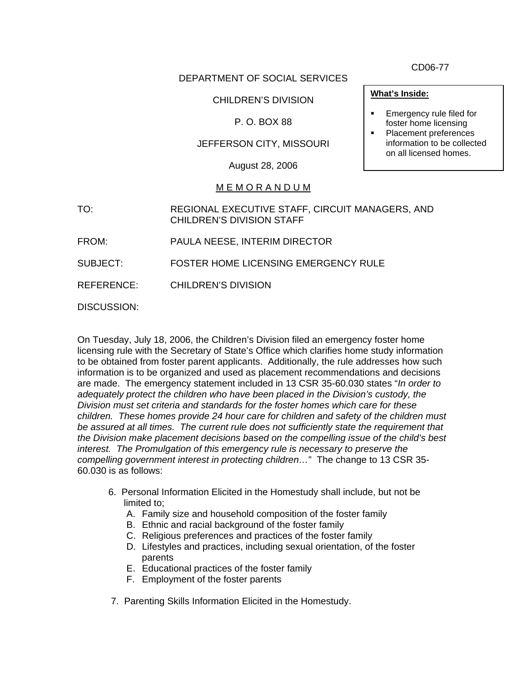DEPARTMENT OF SOCIAL SERVICES

## CHILDREN'S DIVISION

# P. O. BOX 88

## JEFFERSON CITY, MISSOURI

August 28, 2006

#### M E M O R A N D U M

- TO: REGIONAL EXECUTIVE STAFF, CIRCUIT MANAGERS, AND CHILDREN'S DIVISION STAFF
- FROM: PAULA NEESE, INTERIM DIRECTOR
- SUBJECT: FOSTER HOME LICENSING EMERGENCY RULE

REFERENCE: CHILDREN'S DIVISION

DISCUSSION:

On Tuesday, July 18, 2006, the Children's Division filed an emergency foster home licensing rule with the Secretary of State's Office which clarifies home study information to be obtained from foster parent applicants. Additionally, the rule addresses how such information is to be organized and used as placement recommendations and decisions are made. The emergency statement included in 13 CSR 35-60.030 states "*In order to adequately protect the children who have been placed in the Division's custody, the Division must set criteria and standards for the foster homes which care for these children. These homes provide 24 hour care for children and safety of the children must be assured at all times. The current rule does not sufficiently state the requirement that the Division make placement decisions based on the compelling issue of the child's best interest. The Promulgation of this emergency rule is necessary to preserve the compelling government interest in protecting children…*" The change to 13 CSR 35- 60.030 is as follows:

- 6. Personal Information Elicited in the Homestudy shall include, but not be limited to;
	- A. Family size and household composition of the foster family
	- B. Ethnic and racial background of the foster family
	- C. Religious preferences and practices of the foster family
	- D. Lifestyles and practices, including sexual orientation, of the foster parents
	- E. Educational practices of the foster family
	- F. Employment of the foster parents
- 7. Parenting Skills Information Elicited in the Homestudy.

CD06-77

#### **What's Inside:**

- Emergency rule filed for foster home licensing
- Placement preferences information to be collected on all licensed homes.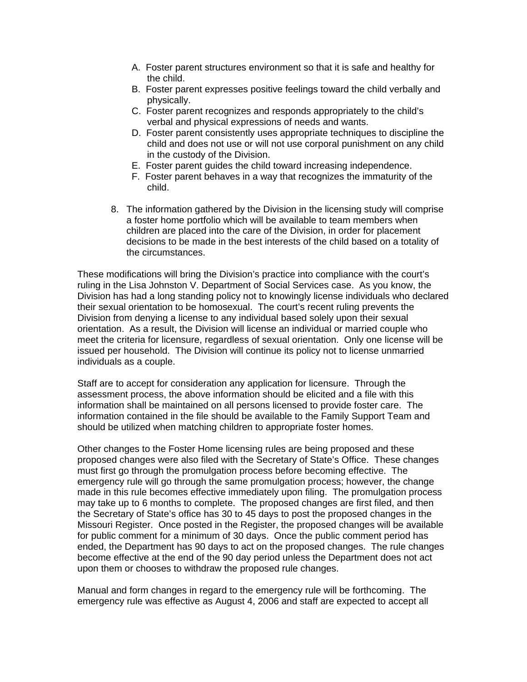- A. Foster parent structures environment so that it is safe and healthy for the child.
- B. Foster parent expresses positive feelings toward the child verbally and physically.
- C. Foster parent recognizes and responds appropriately to the child's verbal and physical expressions of needs and wants.
- D. Foster parent consistently uses appropriate techniques to discipline the child and does not use or will not use corporal punishment on any child in the custody of the Division.
- E. Foster parent guides the child toward increasing independence.
- F. Foster parent behaves in a way that recognizes the immaturity of the child.
- 8. The information gathered by the Division in the licensing study will comprise a foster home portfolio which will be available to team members when children are placed into the care of the Division, in order for placement decisions to be made in the best interests of the child based on a totality of the circumstances.

These modifications will bring the Division's practice into compliance with the court's ruling in the Lisa Johnston V. Department of Social Services case. As you know, the Division has had a long standing policy not to knowingly license individuals who declared their sexual orientation to be homosexual. The court's recent ruling prevents the Division from denying a license to any individual based solely upon their sexual orientation. As a result, the Division will license an individual or married couple who meet the criteria for licensure, regardless of sexual orientation. Only one license will be issued per household. The Division will continue its policy not to license unmarried individuals as a couple.

Staff are to accept for consideration any application for licensure. Through the assessment process, the above information should be elicited and a file with this information shall be maintained on all persons licensed to provide foster care. The information contained in the file should be available to the Family Support Team and should be utilized when matching children to appropriate foster homes.

Other changes to the Foster Home licensing rules are being proposed and these proposed changes were also filed with the Secretary of State's Office. These changes must first go through the promulgation process before becoming effective. The emergency rule will go through the same promulgation process; however, the change made in this rule becomes effective immediately upon filing. The promulgation process may take up to 6 months to complete. The proposed changes are first filed, and then the Secretary of State's office has 30 to 45 days to post the proposed changes in the Missouri Register. Once posted in the Register, the proposed changes will be available for public comment for a minimum of 30 days. Once the public comment period has ended, the Department has 90 days to act on the proposed changes. The rule changes become effective at the end of the 90 day period unless the Department does not act upon them or chooses to withdraw the proposed rule changes.

Manual and form changes in regard to the emergency rule will be forthcoming. The emergency rule was effective as August 4, 2006 and staff are expected to accept all